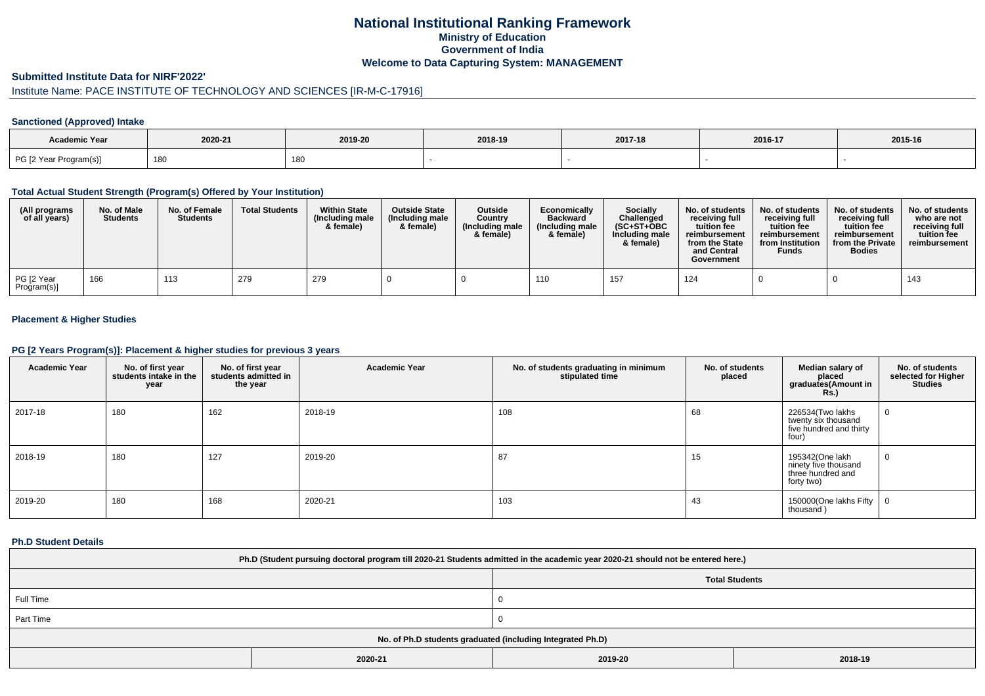## **National Institutional Ranking FrameworkMinistry of Education Government of IndiaWelcome to Data Capturing System: MANAGEMENT**

#### **Submitted Institute Data for NIRF'2022'**

# Institute Name: PACE INSTITUTE OF TECHNOLOGY AND SCIENCES [IR-M-C-17916]

### **Sanctioned (Approved) Intake**

| Academic Year          |         |         |         |         |         |         |
|------------------------|---------|---------|---------|---------|---------|---------|
|                        | 2020-21 | 2019-20 | 2018-19 | 2017-18 | 2016-17 | 2015-16 |
| PG [2 Year Program(s)] | 180     | 180     |         |         |         |         |

#### **Total Actual Student Strength (Program(s) Offered by Your Institution)**

| (All programs<br>of all years) | No. of Male<br><b>Students</b> | No. of Female<br><b>Students</b> | <b>Total Students</b> | <b>Within State</b><br>(Including male<br>& female) | <b>Outside State</b><br>(Including male<br>& female) | <b>Outside</b><br>Country<br>(Including male<br>& female) | Economically<br><b>Backward</b><br>(Including male<br>& female) | <b>Socially</b><br>Challenged<br>$(SC+ST+OBC$<br>Including male<br>& female) | No. of students<br>receiving full<br>tuition fee<br>reimbursement<br>from the State<br>and Central<br>Government | No. of students<br>receiving full<br>tuition fee<br>reimbursement<br>from Institution<br><b>Funds</b> | No. of students<br>receiving full<br>tuition fee<br>reimbursement<br>from the Private<br><b>Bodies</b> | No. of students<br>who are not<br>receiving full<br>tuition fee<br>reimbursement |
|--------------------------------|--------------------------------|----------------------------------|-----------------------|-----------------------------------------------------|------------------------------------------------------|-----------------------------------------------------------|-----------------------------------------------------------------|------------------------------------------------------------------------------|------------------------------------------------------------------------------------------------------------------|-------------------------------------------------------------------------------------------------------|--------------------------------------------------------------------------------------------------------|----------------------------------------------------------------------------------|
| PG [2 Year<br>Program(s)]      | 166                            | 113                              | 279                   | 279                                                 |                                                      |                                                           | 110                                                             |                                                                              | 124                                                                                                              |                                                                                                       |                                                                                                        | 143                                                                              |

### **Placement & Higher Studies**

#### **PG [2 Years Program(s)]: Placement & higher studies for previous 3 years**

| <b>Academic Year</b> | No. of first year<br>students intake in the<br>year | No. of first year<br>students admitted in<br>the year | <b>Academic Year</b> | No. of students graduating in minimum<br>stipulated time | No. of students<br>placed | Median salary of<br>placed<br>graduates(Amount in<br><b>Rs.</b> )           | No. of students<br>selected for Higher<br><b>Studies</b> |
|----------------------|-----------------------------------------------------|-------------------------------------------------------|----------------------|----------------------------------------------------------|---------------------------|-----------------------------------------------------------------------------|----------------------------------------------------------|
| 2017-18              | 180                                                 | 162                                                   | 2018-19              | 108                                                      | 68                        | 226534(Two lakhs<br>twenty six thousand<br>five hundred and thirty<br>four) | $\mathbf{0}$                                             |
| 2018-19              | 180                                                 | 127                                                   | 2019-20              | 87                                                       | 15                        | 195342(One lakh<br>ninety five thousand<br>three hundred and<br>forty two)  | 0                                                        |
| 2019-20              | 180                                                 | 168                                                   | 2020-21              | 103                                                      | 43                        | 150000(One lakhs Fifty<br>thousand)                                         | $\overline{0}$                                           |

#### **Ph.D Student Details**

| Ph.D (Student pursuing doctoral program till 2020-21 Students admitted in the academic year 2020-21 should not be entered here.) |         |                       |         |  |  |  |
|----------------------------------------------------------------------------------------------------------------------------------|---------|-----------------------|---------|--|--|--|
|                                                                                                                                  |         | <b>Total Students</b> |         |  |  |  |
| Full Time                                                                                                                        |         |                       |         |  |  |  |
| Part Time                                                                                                                        |         |                       |         |  |  |  |
| No. of Ph.D students graduated (including Integrated Ph.D)                                                                       |         |                       |         |  |  |  |
|                                                                                                                                  | 2020-21 | 2019-20               | 2018-19 |  |  |  |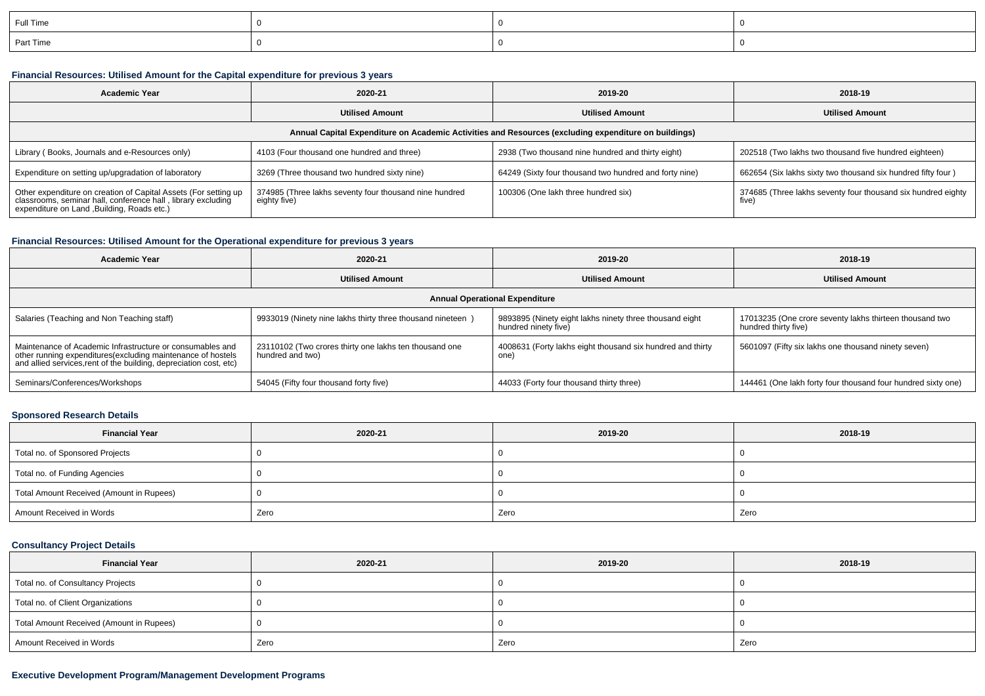| Full Time |  |  |
|-----------|--|--|
| Part Time |  |  |

## **Financial Resources: Utilised Amount for the Capital expenditure for previous 3 years**

| <b>Academic Year</b>                                                                                                                                                           | 2020-21                                                                | 2019-20                                                | 2018-19                                                               |  |  |  |  |  |
|--------------------------------------------------------------------------------------------------------------------------------------------------------------------------------|------------------------------------------------------------------------|--------------------------------------------------------|-----------------------------------------------------------------------|--|--|--|--|--|
|                                                                                                                                                                                | <b>Utilised Amount</b>                                                 | <b>Utilised Amount</b><br><b>Utilised Amount</b>       |                                                                       |  |  |  |  |  |
| Annual Capital Expenditure on Academic Activities and Resources (excluding expenditure on buildings)                                                                           |                                                                        |                                                        |                                                                       |  |  |  |  |  |
| Library (Books, Journals and e-Resources only)                                                                                                                                 | 4103 (Four thousand one hundred and three)                             | 2938 (Two thousand nine hundred and thirty eight)      | 202518 (Two lakhs two thousand five hundred eighteen)                 |  |  |  |  |  |
| Expenditure on setting up/upgradation of laboratory                                                                                                                            | 3269 (Three thousand two hundred sixty nine)                           | 64249 (Sixty four thousand two hundred and forty nine) | 662654 (Six lakhs sixty two thousand six hundred fifty four)          |  |  |  |  |  |
| Other expenditure on creation of Capital Assets (For setting up<br>classrooms, seminar hall, conference hall, library excluding<br>expenditure on Land , Building, Roads etc.) | 374985 (Three lakhs seventy four thousand nine hundred<br>eighty five) | 100306 (One lakh three hundred six)                    | 374685 (Three lakhs seventy four thousand six hundred eighty<br>five) |  |  |  |  |  |

## **Financial Resources: Utilised Amount for the Operational expenditure for previous 3 years**

| <b>Academic Year</b>                                                                                                                                                                            | 2020-21                                                                    | 2019-20                                                                         | 2018-19                                                                         |  |  |  |  |
|-------------------------------------------------------------------------------------------------------------------------------------------------------------------------------------------------|----------------------------------------------------------------------------|---------------------------------------------------------------------------------|---------------------------------------------------------------------------------|--|--|--|--|
|                                                                                                                                                                                                 | <b>Utilised Amount</b>                                                     | <b>Utilised Amount</b>                                                          | <b>Utilised Amount</b>                                                          |  |  |  |  |
| <b>Annual Operational Expenditure</b>                                                                                                                                                           |                                                                            |                                                                                 |                                                                                 |  |  |  |  |
| Salaries (Teaching and Non Teaching staff)                                                                                                                                                      | 9933019 (Ninety nine lakhs thirty three thousand nineteen)                 | 9893895 (Ninety eight lakhs ninety three thousand eight<br>hundred ninety five) | 17013235 (One crore seventy lakhs thirteen thousand two<br>hundred thirty five) |  |  |  |  |
| Maintenance of Academic Infrastructure or consumables and<br>other running expenditures (excluding maintenance of hostels<br>and allied services, rent of the building, depreciation cost, etc) | 23110102 (Two crores thirty one lakhs ten thousand one<br>hundred and two) | 4008631 (Forty lakhs eight thousand six hundred and thirty<br>one)              | 5601097 (Fifty six lakhs one thousand ninety seven)                             |  |  |  |  |
| Seminars/Conferences/Workshops                                                                                                                                                                  | 54045 (Fifty four thousand forty five)                                     | 44033 (Forty four thousand thirty three)                                        | 144461 (One lakh forty four thousand four hundred sixty one)                    |  |  |  |  |

### **Sponsored Research Details**

| <b>Financial Year</b>                    | 2020-21 | 2019-20 | 2018-19 |
|------------------------------------------|---------|---------|---------|
| Total no. of Sponsored Projects          |         |         |         |
| Total no. of Funding Agencies            |         |         |         |
| Total Amount Received (Amount in Rupees) |         |         |         |
| Amount Received in Words                 | Zero    | Zero    | Zero    |

### **Consultancy Project Details**

| <b>Financial Year</b>                    | 2020-21 | 2019-20 | 2018-19 |  |
|------------------------------------------|---------|---------|---------|--|
| Total no. of Consultancy Projects        |         |         |         |  |
| Total no. of Client Organizations        |         |         |         |  |
| Total Amount Received (Amount in Rupees) |         |         |         |  |
| Amount Received in Words                 | Zero    | Zero    | Zero    |  |

## **Executive Development Program/Management Development Programs**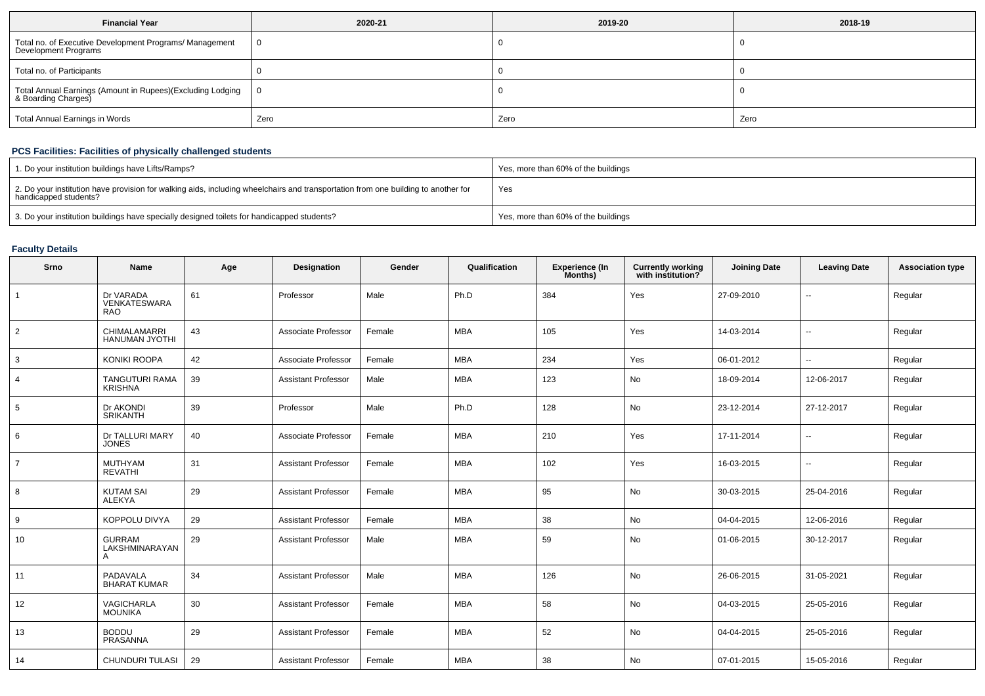| <b>Financial Year</b>                                                             | 2020-21 | 2019-20 | 2018-19 |  |
|-----------------------------------------------------------------------------------|---------|---------|---------|--|
| Total no. of Executive Development Programs/ Management<br>Development Programs   |         |         |         |  |
| Total no. of Participants                                                         |         |         |         |  |
| Total Annual Earnings (Amount in Rupees)(Excluding Lodging<br>& Boarding Charges) |         |         |         |  |
| Total Annual Earnings in Words                                                    | Zero    | Zero    | Zero    |  |

## **PCS Facilities: Facilities of physically challenged students**

| 1. Do your institution buildings have Lifts/Ramps?                                                                                                         | Yes, more than 60% of the buildings |
|------------------------------------------------------------------------------------------------------------------------------------------------------------|-------------------------------------|
| 2. Do your institution have provision for walking aids, including wheelchairs and transportation from one building to another for<br>handicapped students? | Yes                                 |
| 3. Do your institution buildings have specially designed toilets for handicapped students?                                                                 | Yes, more than 60% of the buildings |

## **Faculty Details**

| Srno           | <b>Name</b>                             | Age | Designation                | Gender | Qualification | <b>Experience (In</b><br>Months) | <b>Currently working</b><br>with institution? | <b>Joining Date</b> | <b>Leaving Date</b>      | <b>Association type</b> |
|----------------|-----------------------------------------|-----|----------------------------|--------|---------------|----------------------------------|-----------------------------------------------|---------------------|--------------------------|-------------------------|
|                | Dr VARADA<br>VENKATESWARA<br><b>RAO</b> | 61  | Professor                  | Male   | Ph.D          | 384                              | Yes                                           | 27-09-2010          | $\overline{\phantom{a}}$ | Regular                 |
| 2              | <b>CHIMALAMARRI</b><br>HANUMAN JYOTHI   | 43  | Associate Professor        | Female | <b>MBA</b>    | 105                              | Yes                                           | 14-03-2014          | $\sim$                   | Regular                 |
| 3              | <b>KONIKI ROOPA</b>                     | 42  | Associate Professor        | Female | <b>MBA</b>    | 234                              | Yes                                           | 06-01-2012          | $\overline{\phantom{a}}$ | Regular                 |
| 4              | <b>TANGUTURI RAMA</b><br><b>KRISHNA</b> | 39  | <b>Assistant Professor</b> | Male   | MBA           | 123                              | No                                            | 18-09-2014          | 12-06-2017               | Regular                 |
| 5              | Dr AKONDI<br><b>SRIKANTH</b>            | 39  | Professor                  | Male   | Ph.D          | 128                              | No                                            | 23-12-2014          | 27-12-2017               | Regular                 |
| 6              | Dr TALLURI MARY<br><b>JONES</b>         | 40  | Associate Professor        | Female | MBA           | 210                              | Yes                                           | 17-11-2014          | $\sim$                   | Regular                 |
| $\overline{7}$ | <b>MUTHYAM</b><br><b>REVATHI</b>        | 31  | <b>Assistant Professor</b> | Female | <b>MBA</b>    | 102                              | Yes                                           | 16-03-2015          | $\sim$                   | Regular                 |
| 8              | <b>KUTAM SAI</b><br><b>ALEKYA</b>       | 29  | <b>Assistant Professor</b> | Female | MBA           | 95                               | No                                            | 30-03-2015          | 25-04-2016               | Regular                 |
| 9              | KOPPOLU DIVYA                           | 29  | <b>Assistant Professor</b> | Female | <b>MBA</b>    | 38                               | No                                            | 04-04-2015          | 12-06-2016               | Regular                 |
| 10             | <b>GURRAM</b><br>LAKSHMINARAYAN<br>Α    | 29  | <b>Assistant Professor</b> | Male   | <b>MBA</b>    | 59                               | No                                            | 01-06-2015          | 30-12-2017               | Regular                 |
| 11             | PADAVALA<br><b>BHARAT KUMAR</b>         | 34  | <b>Assistant Professor</b> | Male   | <b>MBA</b>    | 126                              | No                                            | 26-06-2015          | 31-05-2021               | Regular                 |
| 12             | <b>VAGICHARLA</b><br><b>MOUNIKA</b>     | 30  | <b>Assistant Professor</b> | Female | <b>MBA</b>    | 58                               | No                                            | 04-03-2015          | 25-05-2016               | Regular                 |
| 13             | <b>BODDU</b><br>PRASANNA                | 29  | <b>Assistant Professor</b> | Female | <b>MBA</b>    | 52                               | No                                            | 04-04-2015          | 25-05-2016               | Regular                 |
| 14             | CHUNDURI TULASI                         | 29  | <b>Assistant Professor</b> | Female | <b>MBA</b>    | 38                               | No                                            | 07-01-2015          | 15-05-2016               | Regular                 |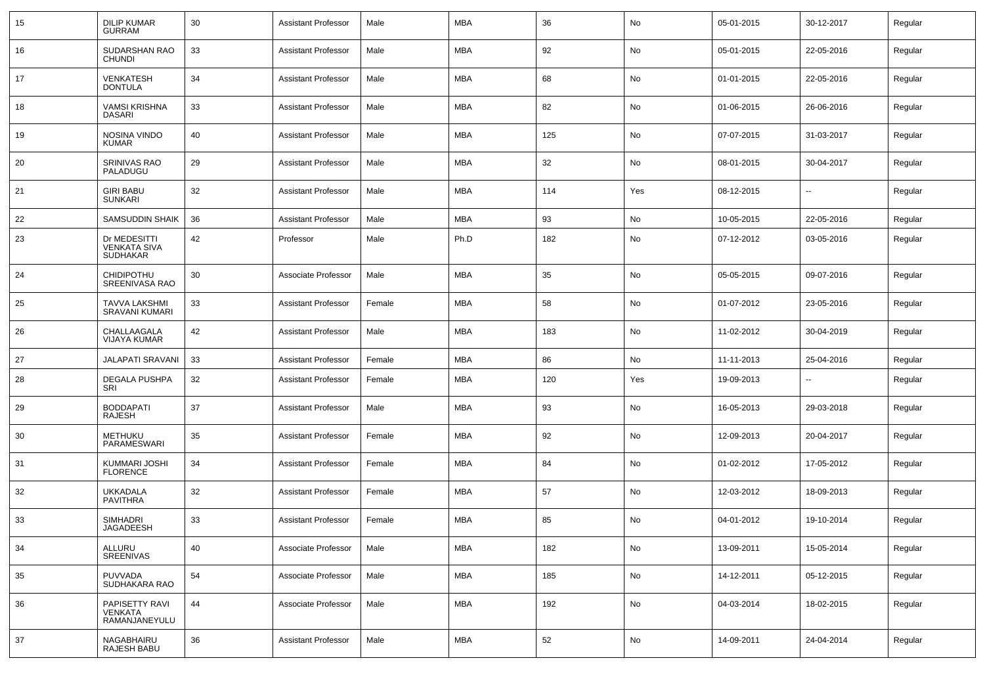| 15 | <b>DILIP KUMAR</b><br><b>GURRAM</b>                    | 30 | <b>Assistant Professor</b> | Male   | <b>MBA</b> | 36  | No  | 05-01-2015 | 30-12-2017 | Regular |
|----|--------------------------------------------------------|----|----------------------------|--------|------------|-----|-----|------------|------------|---------|
| 16 | SUDARSHAN RAO<br><b>CHUNDI</b>                         | 33 | <b>Assistant Professor</b> | Male   | MBA        | 92  | No  | 05-01-2015 | 22-05-2016 | Regular |
| 17 | <b>VENKATESH</b><br><b>DONTULA</b>                     | 34 | <b>Assistant Professor</b> | Male   | MBA        | 68  | No  | 01-01-2015 | 22-05-2016 | Regular |
| 18 | <b>VAMSI KRISHNA</b><br><b>DASARI</b>                  | 33 | <b>Assistant Professor</b> | Male   | MBA        | 82  | No  | 01-06-2015 | 26-06-2016 | Regular |
| 19 | NOSINA VINDO<br><b>KUMAR</b>                           | 40 | <b>Assistant Professor</b> | Male   | MBA        | 125 | No  | 07-07-2015 | 31-03-2017 | Regular |
| 20 | SRINIVAS RAO<br>PALADUGU                               | 29 | <b>Assistant Professor</b> | Male   | MBA        | 32  | No  | 08-01-2015 | 30-04-2017 | Regular |
| 21 | <b>GIRI BABU</b><br><b>SUNKARI</b>                     | 32 | <b>Assistant Professor</b> | Male   | MBA        | 114 | Yes | 08-12-2015 | н.         | Regular |
| 22 | <b>SAMSUDDIN SHAIK</b>                                 | 36 | <b>Assistant Professor</b> | Male   | <b>MBA</b> | 93  | No  | 10-05-2015 | 22-05-2016 | Regular |
| 23 | Dr MEDESITTI<br><b>VENKATA SIVA</b><br><b>SUDHAKAR</b> | 42 | Professor                  | Male   | Ph.D       | 182 | No  | 07-12-2012 | 03-05-2016 | Regular |
| 24 | <b>CHIDIPOTHU</b><br><b>SREENIVASA RAO</b>             | 30 | Associate Professor        | Male   | <b>MBA</b> | 35  | No  | 05-05-2015 | 09-07-2016 | Regular |
| 25 | <b>TAVVA LAKSHMI</b><br><b>SRAVANI KUMARI</b>          | 33 | <b>Assistant Professor</b> | Female | MBA        | 58  | No  | 01-07-2012 | 23-05-2016 | Regular |
| 26 | CHALLAAGALA<br><b>VIJAYA KUMAR</b>                     | 42 | <b>Assistant Professor</b> | Male   | MBA        | 183 | No  | 11-02-2012 | 30-04-2019 | Regular |
| 27 | <b>JALAPATI SRAVANI</b>                                | 33 | <b>Assistant Professor</b> | Female | MBA        | 86  | No  | 11-11-2013 | 25-04-2016 | Regular |
| 28 | <b>DEGALA PUSHPA</b><br>SRI                            | 32 | <b>Assistant Professor</b> | Female | MBA        | 120 | Yes | 19-09-2013 | −−         | Regular |
| 29 | <b>BODDAPATI</b><br>RAJESH                             | 37 | <b>Assistant Professor</b> | Male   | MBA        | 93  | No  | 16-05-2013 | 29-03-2018 | Regular |
| 30 | METHUKU<br>PARAMESWARI                                 | 35 | <b>Assistant Professor</b> | Female | MBA        | 92  | No  | 12-09-2013 | 20-04-2017 | Regular |
| 31 | KUMMARI JOSHI<br><b>FLORENCE</b>                       | 34 | <b>Assistant Professor</b> | Female | MBA        | 84  | No  | 01-02-2012 | 17-05-2012 | Regular |
| 32 | UKKADALA<br>PAVITHRA                                   | 32 | <b>Assistant Professor</b> | Female | MBA        | 57  | No  | 12-03-2012 | 18-09-2013 | Regular |
| 33 | <b>SIMHADRI</b><br>JAGADEESH                           | 33 | <b>Assistant Professor</b> | Female | <b>MBA</b> | 85  | No  | 04-01-2012 | 19-10-2014 | Regular |
| 34 | ALLURU<br>SREENIVAS                                    | 40 | Associate Professor        | Male   | <b>MBA</b> | 182 | No  | 13-09-2011 | 15-05-2014 | Regular |
| 35 | PUVVADA<br>SUDHAKARA RAO                               | 54 | Associate Professor        | Male   | <b>MBA</b> | 185 | No  | 14-12-2011 | 05-12-2015 | Regular |
| 36 | PAPISETTY RAVI<br>VENKATA<br>RAMANJANEYULU             | 44 | Associate Professor        | Male   | MBA        | 192 | No  | 04-03-2014 | 18-02-2015 | Regular |
| 37 | NAGABHAIRU<br>RAJESH BABU                              | 36 | <b>Assistant Professor</b> | Male   | <b>MBA</b> | 52  | No  | 14-09-2011 | 24-04-2014 | Regular |